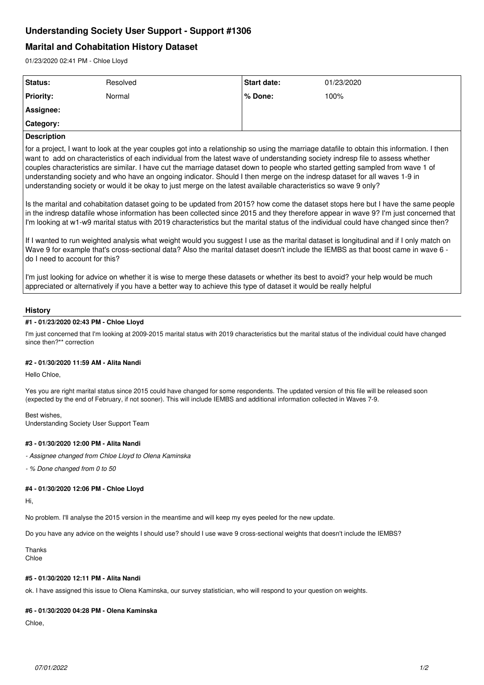# **Understanding Society User Support - Support #1306**

# **Marital and Cohabitation History Dataset**

01/23/2020 02:41 PM - Chloe Lloyd

| Status:            | Resolved | Start date: | 01/23/2020 |
|--------------------|----------|-------------|------------|
| <b>Priority:</b>   | Normal   | ∣% Done:    | 100%       |
| <b>Assignee:</b>   |          |             |            |
| <b>Category:</b>   |          |             |            |
| <b>Description</b> |          |             |            |

for a project, I want to look at the year couples got into a relationship so using the marriage datafile to obtain this information. I then want to add on characteristics of each individual from the latest wave of understanding society indresp file to assess whether couples characteristics are similar. I have cut the marriage dataset down to people who started getting sampled from wave 1 of understanding society and who have an ongoing indicator. Should I then merge on the indresp dataset for all waves 1-9 in understanding society or would it be okay to just merge on the latest available characteristics so wave 9 only?

Is the marital and cohabitation dataset going to be updated from 2015? how come the dataset stops here but I have the same people in the indresp datafile whose information has been collected since 2015 and they therefore appear in wave 9? I'm just concerned that I'm looking at w1-w9 marital status with 2019 characteristics but the marital status of the individual could have changed since then?

If I wanted to run weighted analysis what weight would you suggest I use as the marital dataset is longitudinal and if I only match on Wave 9 for example that's cross-sectional data? Also the marital dataset doesn't include the IEMBS as that boost came in wave 6 do I need to account for this?

I'm just looking for advice on whether it is wise to merge these datasets or whether its best to avoid? your help would be much appreciated or alternatively if you have a better way to achieve this type of dataset it would be really helpful

## **History**

## **#1 - 01/23/2020 02:43 PM - Chloe Lloyd**

I'm just concerned that I'm looking at 2009-2015 marital status with 2019 characteristics but the marital status of the individual could have changed since then?\*\* correction

## **#2 - 01/30/2020 11:59 AM - Alita Nandi**

#### Hello Chloe,

Yes you are right marital status since 2015 could have changed for some respondents. The updated version of this file will be released soon (expected by the end of February, if not sooner). This will include IEMBS and additional information collected in Waves 7-9.

Best wishes, Understanding Society User Support Team

## **#3 - 01/30/2020 12:00 PM - Alita Nandi**

*- Assignee changed from Chloe Lloyd to Olena Kaminska*

*- % Done changed from 0 to 50*

#### **#4 - 01/30/2020 12:06 PM - Chloe Lloyd**

Hi,

No problem. I'll analyse the 2015 version in the meantime and will keep my eyes peeled for the new update.

Do you have any advice on the weights I should use? should I use wave 9 cross-sectional weights that doesn't include the IEMBS?

Thanks Chloe

### **#5 - 01/30/2020 12:11 PM - Alita Nandi**

ok. I have assigned this issue to Olena Kaminska, our survey statistician, who will respond to your question on weights.

#### **#6 - 01/30/2020 04:28 PM - Olena Kaminska**

Chloe,